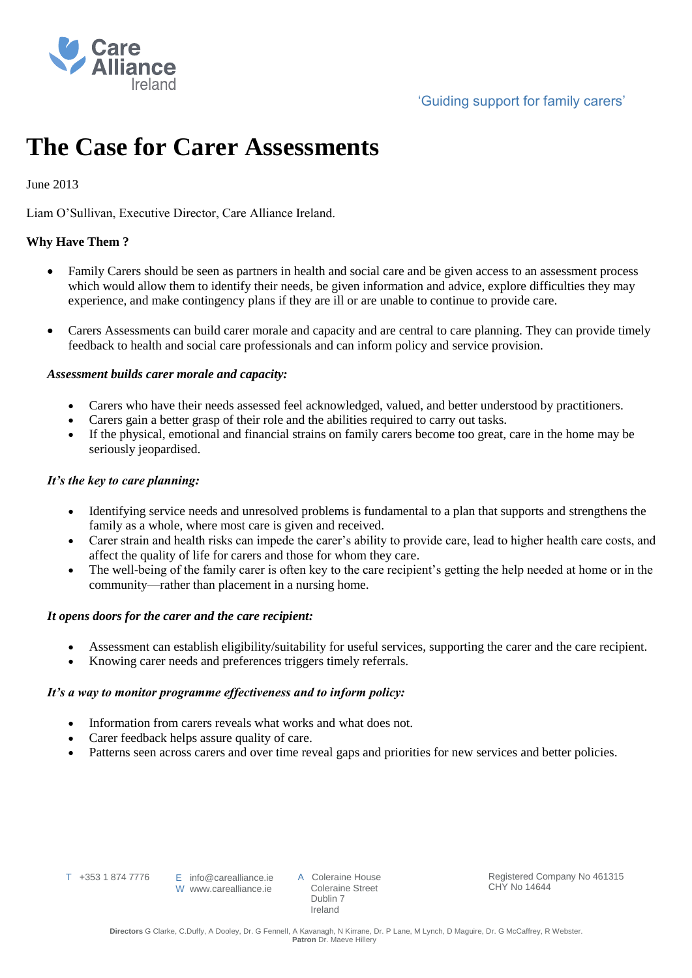

# **The Case for Carer Assessments**

# June 2013

Liam O'Sullivan, Executive Director, Care Alliance Ireland.

# **Why Have Them ?**

- Family Carers should be seen as partners in health and social care and be given access to an assessment process which would allow them to identify their needs, be given information and advice, explore difficulties they may experience, and make contingency plans if they are ill or are unable to continue to provide care.
- Carers Assessments can build carer morale and capacity and are central to care planning. They can provide timely feedback to health and social care professionals and can inform policy and service provision.

# *Assessment builds carer morale and capacity:*

- Carers who have their needs assessed feel acknowledged, valued, and better understood by practitioners.
- Carers gain a better grasp of their role and the abilities required to carry out tasks.
- If the physical, emotional and financial strains on family carers become too great, care in the home may be seriously jeopardised.

# *It's the key to care planning:*

- Identifying service needs and unresolved problems is fundamental to a plan that supports and strengthens the family as a whole, where most care is given and received.
- Carer strain and health risks can impede the carer's ability to provide care, lead to higher health care costs, and affect the quality of life for carers and those for whom they care.
- The well-being of the family carer is often key to the care recipient's getting the help needed at home or in the community—rather than placement in a nursing home.

# *It opens doors for the carer and the care recipient:*

- Assessment can establish eligibility/suitability for useful services, supporting the carer and the care recipient.
- Knowing carer needs and preferences triggers timely referrals.

#### *It's a way to monitor programme effectiveness and to inform policy:*

- Information from carers reveals what works and what does not.
- Carer feedback helps assure quality of care.
- Patterns seen across carers and over time reveal gaps and priorities for new services and better policies.

T +353 1 874 7776

A Coleraine House Coleraine Street Dublin 7 Ireland

Registered Company No 461315 CHY No 14644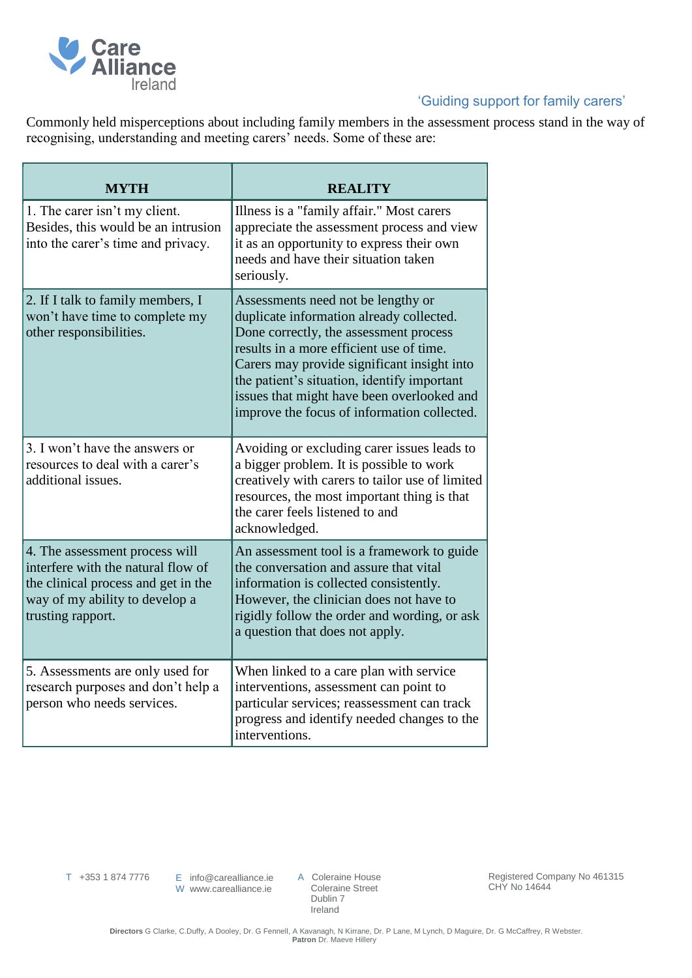

# 'Guiding support for family carers'

Commonly held misperceptions about including family members in the assessment process stand in the way of recognising, understanding and meeting carers' needs. Some of these are:

| MYTH                                                                                                                                                               | <b>REALITY</b>                                                                                                                                                                                                                                                                                                                                                  |
|--------------------------------------------------------------------------------------------------------------------------------------------------------------------|-----------------------------------------------------------------------------------------------------------------------------------------------------------------------------------------------------------------------------------------------------------------------------------------------------------------------------------------------------------------|
| 1. The carer isn't my client.<br>Besides, this would be an intrusion<br>into the carer's time and privacy.                                                         | Illness is a "family affair." Most carers<br>appreciate the assessment process and view<br>it as an opportunity to express their own<br>needs and have their situation taken<br>seriously.                                                                                                                                                                      |
| 2. If I talk to family members, I<br>won't have time to complete my<br>other responsibilities.                                                                     | Assessments need not be lengthy or<br>duplicate information already collected.<br>Done correctly, the assessment process<br>results in a more efficient use of time.<br>Carers may provide significant insight into<br>the patient's situation, identify important<br>issues that might have been overlooked and<br>improve the focus of information collected. |
| 3. I won't have the answers or<br>resources to deal with a carer's<br>additional issues.                                                                           | Avoiding or excluding carer issues leads to<br>a bigger problem. It is possible to work<br>creatively with carers to tailor use of limited<br>resources, the most important thing is that<br>the carer feels listened to and<br>acknowledged.                                                                                                                   |
| 4. The assessment process will<br>interfere with the natural flow of<br>the clinical process and get in the<br>way of my ability to develop a<br>trusting rapport. | An assessment tool is a framework to guide<br>the conversation and assure that vital<br>information is collected consistently.<br>However, the clinician does not have to<br>rigidly follow the order and wording, or ask<br>a question that does not apply.                                                                                                    |
| 5. Assessments are only used for<br>research purposes and don't help a<br>person who needs services.                                                               | When linked to a care plan with service<br>interventions, assessment can point to<br>particular services; reassessment can track<br>progress and identify needed changes to the<br>interventions.                                                                                                                                                               |

T +353 1 874 7776

E info@carealliance.ie W www.carealliance.ie

A Coleraine House Coleraine Street Dublin 7 Ireland

Registered Company No 461315 CHY No 14644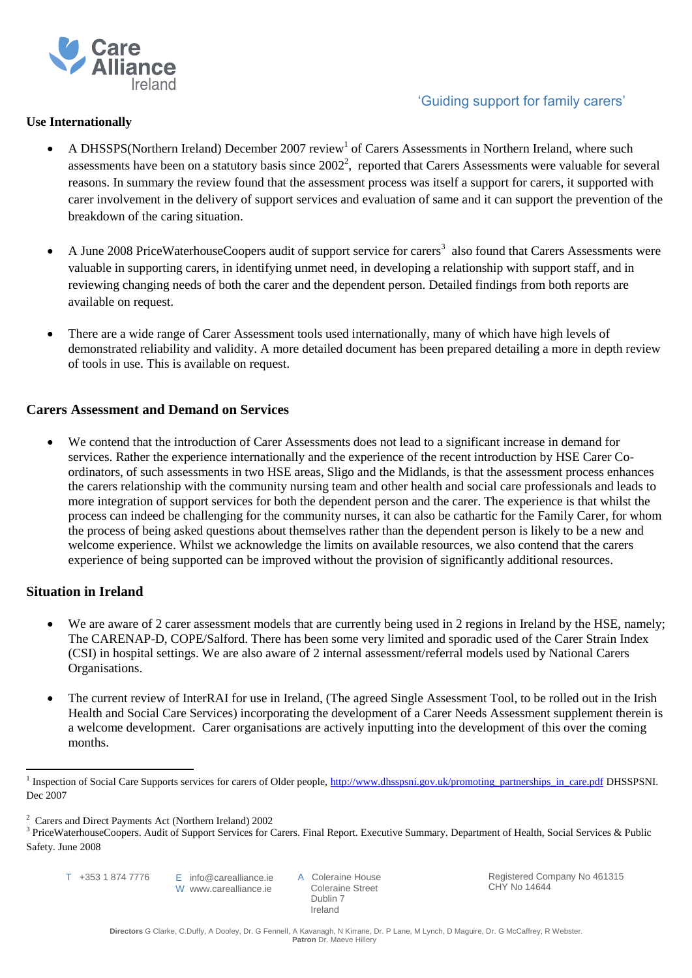

# 'Guiding support for family carers'

### **Use Internationally**

- A DHSSPS(Northern Ireland) December 2007 review<sup>1</sup> of Carers Assessments in Northern Ireland, where such assessments have been on a statutory basis since  $2002^2$ , reported that Carers Assessments were valuable for several reasons. In summary the review found that the assessment process was itself a support for carers, it supported with carer involvement in the delivery of support services and evaluation of same and it can support the prevention of the breakdown of the caring situation.
- $\bullet$  A June 2008 PriceWaterhouseCoopers audit of support service for carers<sup>3</sup> also found that Carers Assessments were valuable in supporting carers, in identifying unmet need, in developing a relationship with support staff, and in reviewing changing needs of both the carer and the dependent person. Detailed findings from both reports are available on request.
- There are a wide range of Carer Assessment tools used internationally, many of which have high levels of demonstrated reliability and validity. A more detailed document has been prepared detailing a more in depth review of tools in use. This is available on request.

#### **Carers Assessment and Demand on Services**

 We contend that the introduction of Carer Assessments does not lead to a significant increase in demand for services. Rather the experience internationally and the experience of the recent introduction by HSE Carer Coordinators, of such assessments in two HSE areas, Sligo and the Midlands, is that the assessment process enhances the carers relationship with the community nursing team and other health and social care professionals and leads to more integration of support services for both the dependent person and the carer. The experience is that whilst the process can indeed be challenging for the community nurses, it can also be cathartic for the Family Carer, for whom the process of being asked questions about themselves rather than the dependent person is likely to be a new and welcome experience. Whilst we acknowledge the limits on available resources, we also contend that the carers experience of being supported can be improved without the provision of significantly additional resources.

# **Situation in Ireland**

 $\overline{a}$ 

- We are aware of 2 carer assessment models that are currently being used in 2 regions in Ireland by the HSE, namely; The CARENAP-D, COPE/Salford. There has been some very limited and sporadic used of the Carer Strain Index (CSI) in hospital settings. We are also aware of 2 internal assessment/referral models used by National Carers Organisations.
- The current review of InterRAI for use in Ireland, (The agreed Single Assessment Tool, to be rolled out in the Irish Health and Social Care Services) incorporating the development of a Carer Needs Assessment supplement therein is a welcome development. Carer organisations are actively inputting into the development of this over the coming months.

A Coleraine House Coleraine Street Dublin 7 Ireland

Registered Company No 461315 CHY No 14644

<sup>&</sup>lt;sup>1</sup> Inspection of Social Care Supports services for carers of Older people, [http://www.dhsspsni.gov.uk/promoting\\_partnerships\\_in\\_care.pdf](http://www.dhsspsni.gov.uk/promoting_partnerships_in_care.pdf) DHSSPSNI. Dec 2007

<sup>2</sup> Carers and Direct Payments Act (Northern Ireland) 2002

<sup>&</sup>lt;sup>3</sup> PriceWaterhouseCoopers. Audit of Support Services for Carers. Final Report. Executive Summary. Department of Health, Social Services & Public Safety. June 2008

T +353 1 874 7776

E info@carealliance.ie W www.carealliance.ie